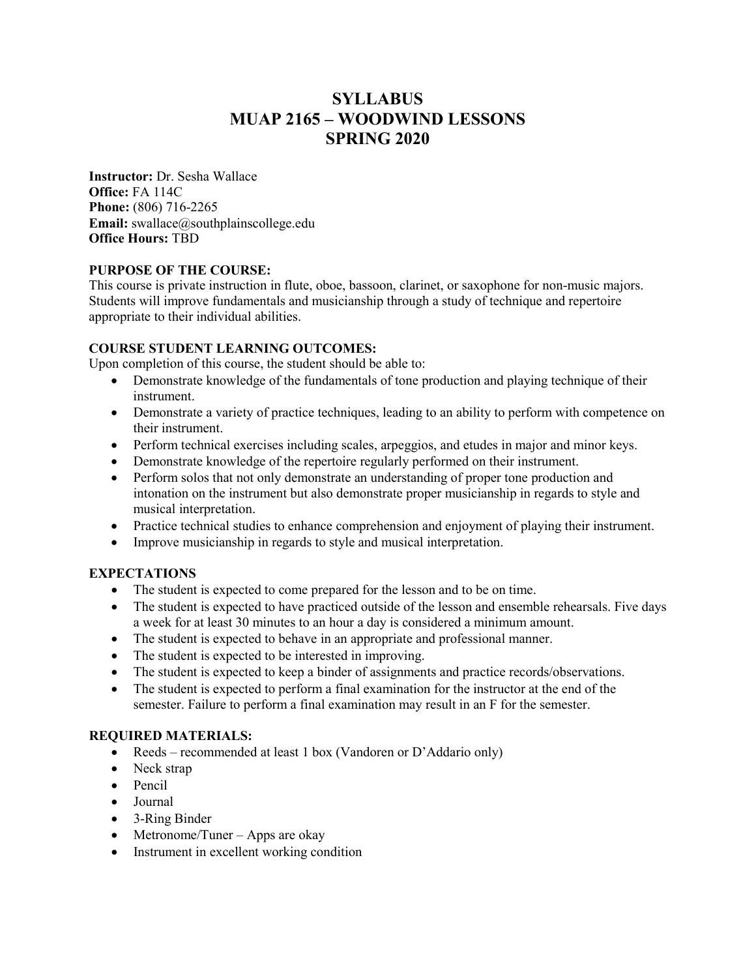# **SYLLABUS MUAP 2165 – WOODWIND LESSONS SPRING 2020**

**Instructor:** Dr. Sesha Wallace **Office:** FA 114C **Phone:** (806) 716-2265 **Email:** swallace@southplainscollege.edu **Office Hours:** TBD

# **PURPOSE OF THE COURSE:**

This course is private instruction in flute, oboe, bassoon, clarinet, or saxophone for non-music majors. Students will improve fundamentals and musicianship through a study of technique and repertoire appropriate to their individual abilities.

# **COURSE STUDENT LEARNING OUTCOMES:**

Upon completion of this course, the student should be able to:

- Demonstrate knowledge of the fundamentals of tone production and playing technique of their instrument.
- Demonstrate a variety of practice techniques, leading to an ability to perform with competence on their instrument.
- Perform technical exercises including scales, arpeggios, and etudes in major and minor keys.
- Demonstrate knowledge of the repertoire regularly performed on their instrument.
- Perform solos that not only demonstrate an understanding of proper tone production and intonation on the instrument but also demonstrate proper musicianship in regards to style and musical interpretation.
- Practice technical studies to enhance comprehension and enjoyment of playing their instrument.
- Improve musicianship in regards to style and musical interpretation.

# **EXPECTATIONS**

- The student is expected to come prepared for the lesson and to be on time.
- The student is expected to have practiced outside of the lesson and ensemble rehearsals. Five days a week for at least 30 minutes to an hour a day is considered a minimum amount.
- The student is expected to behave in an appropriate and professional manner.
- The student is expected to be interested in improving.
- The student is expected to keep a binder of assignments and practice records/observations.
- The student is expected to perform a final examination for the instructor at the end of the semester. Failure to perform a final examination may result in an F for the semester.

## **REQUIRED MATERIALS:**

- Reeds recommended at least 1 box (Vandoren or D'Addario only)
- Neck strap
- Pencil
- Journal
- 3-Ring Binder
- Metronome/Tuner Apps are okay
- Instrument in excellent working condition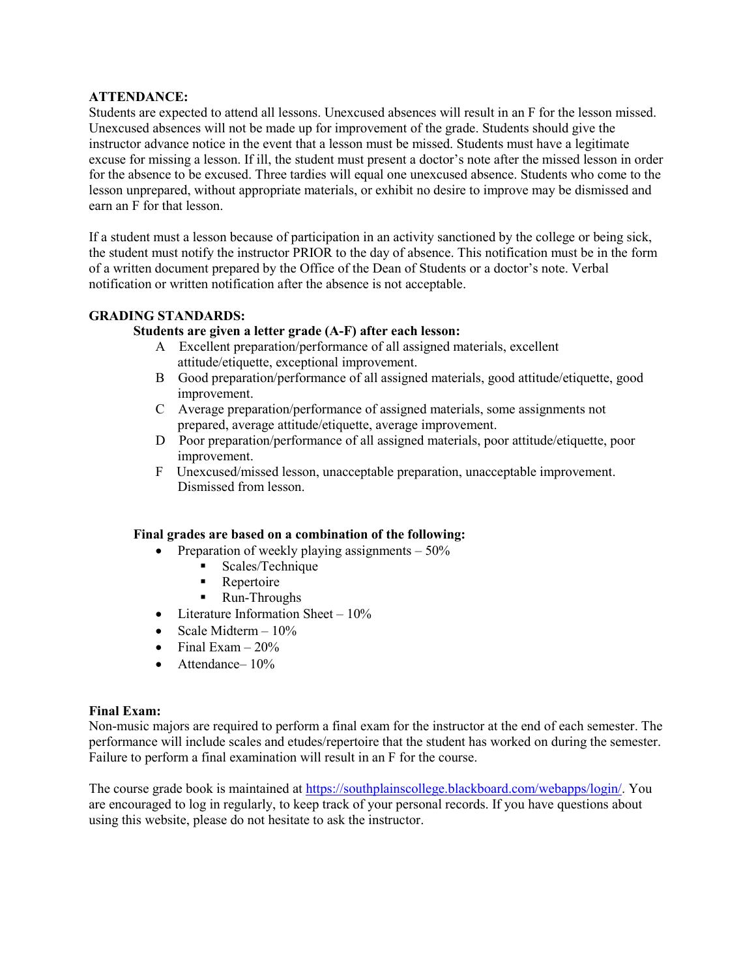### **ATTENDANCE:**

Students are expected to attend all lessons. Unexcused absences will result in an F for the lesson missed. Unexcused absences will not be made up for improvement of the grade. Students should give the instructor advance notice in the event that a lesson must be missed. Students must have a legitimate excuse for missing a lesson. If ill, the student must present a doctor's note after the missed lesson in order for the absence to be excused. Three tardies will equal one unexcused absence. Students who come to the lesson unprepared, without appropriate materials, or exhibit no desire to improve may be dismissed and earn an F for that lesson.

If a student must a lesson because of participation in an activity sanctioned by the college or being sick, the student must notify the instructor PRIOR to the day of absence. This notification must be in the form of a written document prepared by the Office of the Dean of Students or a doctor's note. Verbal notification or written notification after the absence is not acceptable.

### **GRADING STANDARDS:**

# **Students are given a letter grade (A-F) after each lesson:**

- A Excellent preparation/performance of all assigned materials, excellent attitude/etiquette, exceptional improvement.
- B Good preparation/performance of all assigned materials, good attitude/etiquette, good improvement.
- C Average preparation/performance of assigned materials, some assignments not prepared, average attitude/etiquette, average improvement.
- D Poor preparation/performance of all assigned materials, poor attitude/etiquette, poor improvement.
- F Unexcused/missed lesson, unacceptable preparation, unacceptable improvement. Dismissed from lesson.

### **Final grades are based on a combination of the following:**

- Preparation of weekly playing assignments  $-50\%$ 
	- Scales/Technique
	- Repertoire
	- Run-Throughs
- Literature Information Sheet  $-10\%$
- Scale Midterm  $-10\%$
- Final Exam  $-20\%$
- Attendance-10%

#### **Final Exam:**

Non-music majors are required to perform a final exam for the instructor at the end of each semester. The performance will include scales and etudes/repertoire that the student has worked on during the semester. Failure to perform a final examination will result in an F for the course.

The course grade book is maintained at https://southplainscollege.blackboard.com/webapps/login/. You are encouraged to log in regularly, to keep track of your personal records. If you have questions about using this website, please do not hesitate to ask the instructor.